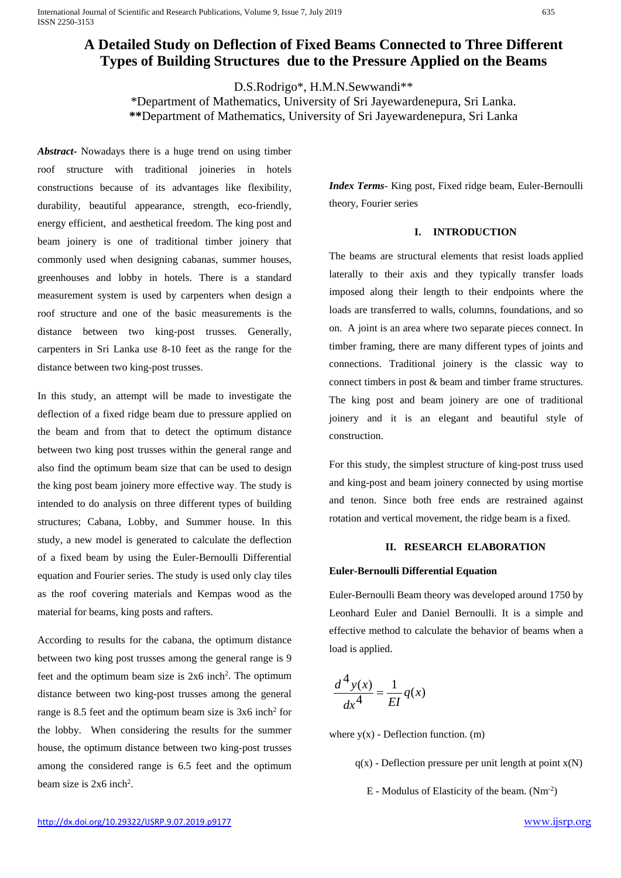# **A Detailed Study on Deflection of Fixed Beams Connected to Three Different Types of Building Structures due to the Pressure Applied on the Beams**

D.S.Rodrigo\*, H.M.N.Sewwandi\*\*

\*Department of Mathematics, University of Sri Jayewardenepura, Sri Lanka. **\*\***Department of Mathematics, University of Sri Jayewardenepura, Sri Lanka

*Abstract***-** Nowadays there is a huge trend on using timber roof structure with traditional joineries in hotels constructions because of its advantages like flexibility, durability, beautiful appearance, strength, eco-friendly, energy efficient, and aesthetical freedom. The king post and beam joinery is one of traditional timber joinery that commonly used when designing cabanas, summer houses, greenhouses and lobby in hotels. There is a standard measurement system is used by carpenters when design a roof structure and one of the basic measurements is the distance between two king-post trusses. Generally, carpenters in Sri Lanka use 8-10 feet as the range for the distance between two king-post trusses.

In this study, an attempt will be made to investigate the deflection of a fixed ridge beam due to pressure applied on the beam and from that to detect the optimum distance between two king post trusses within the general range and also find the optimum beam size that can be used to design the king post beam joinery more effective way. The study is intended to do analysis on three different types of building structures; Cabana, Lobby, and Summer house. In this study, a new model is generated to calculate the deflection of a fixed beam by using the Euler-Bernoulli Differential equation and Fourier series. The study is used only clay tiles as the roof covering materials and Kempas wood as the material for beams, king posts and rafters.

According to results for the cabana, the optimum distance between two king post trusses among the general range is 9 feet and the optimum beam size is  $2x6$  inch<sup>2</sup>. The optimum distance between two king-post trusses among the general range is 8.5 feet and the optimum beam size is 3x6 inch2 for the lobby. When considering the results for the summer house, the optimum distance between two king-post trusses among the considered range is 6.5 feet and the optimum beam size is 2x6 inch<sup>2</sup>.

*Index Terms*- King post, Fixed ridge beam, Euler-Bernoulli theory, Fourier series

## **I. INTRODUCTION**

The beams are structural elements that resist loads applied laterally to their axis and they typically transfer loads imposed along their length to their endpoints where the loads are transferred to walls, columns, foundations, and so on. A joint is an area where two separate pieces connect. In timber framing, there are many different types of joints and connections. Traditional joinery is the classic way to connect timbers in post & beam and timber frame structures. The king post and beam joinery are one of traditional joinery and it is an elegant and beautiful style of construction.

For this study, the simplest structure of king-post truss used and king-post and beam joinery connected by using mortise and tenon. Since both free ends are restrained against rotation and vertical movement, the ridge beam is a fixed.

## **II. RESEARCH ELABORATION**

## **Euler-Bernoulli Differential Equation**

Euler-Bernoulli Beam theory was developed around 1750 by Leonhard Euler and Daniel Bernoulli. It is a simple and effective method to calculate the behavior of beams when a load is applied.

$$
\frac{d^4y(x)}{dx^4} = \frac{1}{EI}q(x)
$$

where  $y(x)$  - Deflection function. (m)

 $q(x)$  - Deflection pressure per unit length at point  $x(N)$ 

E - Modulus of Elasticity of the beam. (Nm-2 )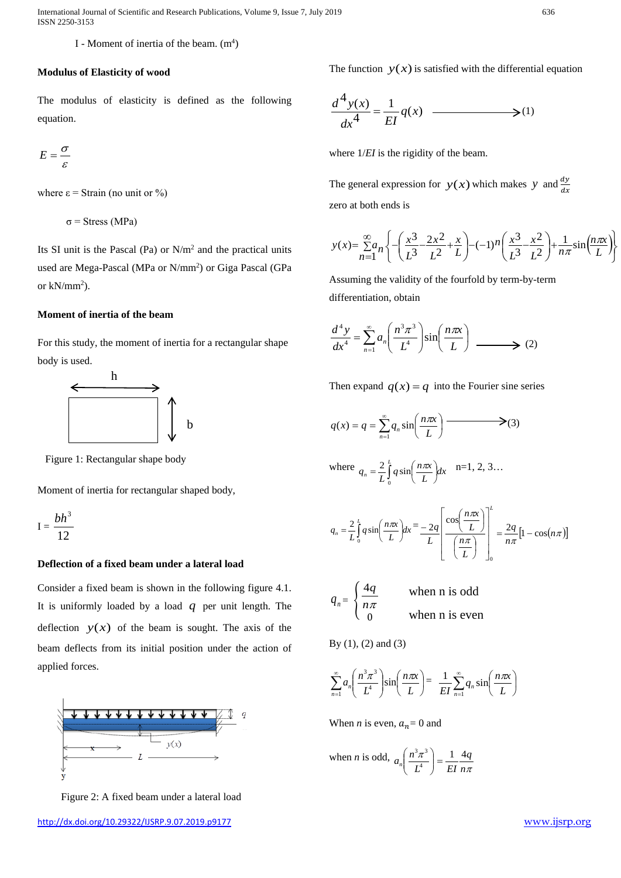International Journal of Scientific and Research Publications, Volume 9, Issue 7, July 2019 636 ISSN 2250-3153

I - Moment of inertia of the beam.  $(m<sup>4</sup>)$ 

#### **Modulus of Elasticity of wood**

The modulus of elasticity is defined as the following equation.

$$
E=\frac{\sigma}{\varepsilon}
$$

where  $\epsilon$  = Strain (no unit or %)

σ = Stress (MPa)

Its SI unit is the Pascal (Pa) or N/m2 and the practical units used are Mega-Pascal (MPa or N/mm<sup>2</sup>) or Giga Pascal (GPa or  $kN/mm^2$ ).

# **Moment of inertia of the beam**

For this study, the moment of inertia for a rectangular shape body is used.



Figure 1: Rectangular shape body

Moment of inertia for rectangular shaped body,

$$
I = \frac{bh^3}{12}
$$

## **Deflection of a fixed beam under a lateral load**

Consider a fixed beam is shown in the following figure 4.1. It is uniformly loaded by a load *q* per unit length. The deflection  $y(x)$  of the beam is sought. The axis of the beam deflects from its initial position under the action of applied forces.



Figure 2: A fixed beam under a lateral load

The function  $y(x)$  is satisfied with the differential equation

$$
\frac{d^4y(x)}{dx^4} = \frac{1}{EI}q(x) \quad \longrightarrow (1)
$$

where  $1/EI$  is the rigidity of the beam.

The general expression for  $y(x)$  which makes *y* and  $\frac{dy}{dx}$ zero at both ends is

$$
y(x) = \sum_{n=1}^{\infty} a_n \left\{ -\left(\frac{x^3}{L^3} - \frac{2x^2}{L^2} + \frac{x}{L}\right) - (-1)^n \left(\frac{x^3}{L^3} - \frac{x^2}{L^2}\right) + \frac{1}{n\pi} \sin\left(\frac{n\pi x}{L}\right) \right\}
$$

Assuming the validity of the fourfold by term-by-term differentiation, obtain

$$
\frac{d^4 y}{dx^4} = \sum_{n=1}^{\infty} a_n \left( \frac{n^3 \pi^3}{L^4} \right) \sin \left( \frac{n \pi x}{L} \right) \longrightarrow (2)
$$

Then expand  $q(x) = q$  into the Fourier sine series

$$
q(x) = q = \sum_{n=1}^{\infty} q_n \sin\left(\frac{n\pi x}{L}\right)
$$
 (3)

where 
$$
q_n = \frac{2}{L} \int_0^L q \sin\left(\frac{n\pi x}{L}\right) dx
$$
 n=1, 2, 3...

$$
q_n = \frac{2}{L} \int_0^L q \sin\left(\frac{n\pi x}{L}\right) dx = \frac{-2q}{L} \left[ \frac{\cos\left(\frac{n\pi x}{L}\right)}{\left(\frac{n\pi}{L}\right)} \right]_0^L = \frac{2q}{n\pi} \left[1 - \cos(n\pi)\right]
$$

$$
q_n = \begin{cases} \frac{4q}{n\pi} & \text{when n is odd} \\ 0 & \text{when n is even} \end{cases}
$$

By (1), (2) and (3)

$$
\sum_{n=1}^{\infty} a_n \left( \frac{n^3 \pi^3}{L^4} \right) \sin \left( \frac{n \pi x}{L} \right) = \frac{1}{EI} \sum_{n=1}^{\infty} q_n \sin \left( \frac{n \pi x}{L} \right)
$$

When *n* is even,  $a_n = 0$  and

when *n* is odd, 
$$
a_n \left( \frac{n^3 \pi^3}{L^4} \right) = \frac{1}{EI} \frac{4q}{n\pi}
$$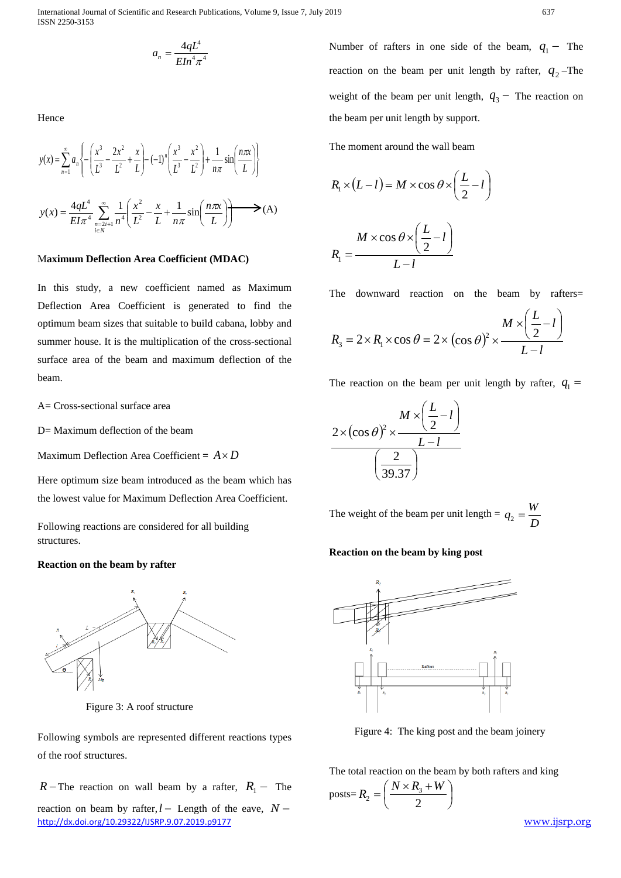$$
a_n = \frac{4qL^4}{E In^4 \pi^4}
$$

Hence

$$
y(x) = \sum_{n=1}^{\infty} a_n \left\{ -\left(\frac{x^3}{L^3} - \frac{2x^2}{L^2} + \frac{x}{L}\right) - (-1)^n \left(\frac{x^3}{L^3} - \frac{x^2}{L^2}\right) + \frac{1}{n\pi} \sin\left(\frac{n\pi x}{L}\right) \right\}
$$
  

$$
y(x) = \frac{4qL^4}{EI\pi^4} \sum_{\substack{n=2i+1 \ i \in N}}^{\infty} \frac{1}{n^4} \left(\frac{x^2}{L^2} - \frac{x}{L} + \frac{1}{n\pi} \sin\left(\frac{n\pi x}{L}\right)\right) \longrightarrow (A)
$$

## M**aximum Deflection Area Coefficient (MDAC)**

In this study, a new coefficient named as Maximum Deflection Area Coefficient is generated to find the optimum beam sizes that suitable to build cabana, lobby and summer house. It is the multiplication of the cross-sectional surface area of the beam and maximum deflection of the beam.

A= Cross-sectional surface area

D= Maximum deflection of the beam

Maximum Deflection Area Coefficient =  $A \times D$ 

Here optimum size beam introduced as the beam which has the lowest value for Maximum Deflection Area Coefficient.

Following reactions are considered for all building structures.

## **Reaction on the beam by rafter**



Figure 3: A roof structure

Following symbols are represented different reactions types of the roof structures.

<http://dx.doi.org/10.29322/IJSRP.9.07.2019.p9177> [www.ijsrp.org](http://ijsrp.org/) *R* − The reaction on wall beam by a rafter,  $R_1$  − The reaction on beam by rafter, $l$  − Length of the eave,  $N$  −

Number of rafters in one side of the beam,  $q_1$  – The reaction on the beam per unit length by rafter,  $q_2$ -The weight of the beam per unit length,  $q_3$  – The reaction on the beam per unit length by support.

The moment around the wall beam

$$
R_1 \times (L - l) = M \times \cos \theta \times \left(\frac{L}{2} - l\right)
$$

$$
R_1 = \frac{M \times \cos \theta \times \left(\frac{L}{2} - l\right)}{L - l}
$$

The downward reaction on the beam by rafters=

$$
R_3 = 2 \times R_1 \times \cos \theta = 2 \times (\cos \theta)^2 \times \frac{M \times (\frac{L}{2} - l)}{L - l}
$$

The reaction on the beam per unit length by rafter,  $q_1 =$ 

$$
\frac{2 \times (\cos \theta)^2 \times \frac{M \times (\frac{L}{2} - l)}{L - l}}{\left(\frac{2}{39.37}\right)}
$$

The weight of the beam per unit length  $=$ *D*  $q_2 = \frac{W}{R}$ 

## **Reaction on the beam by king post**



Figure 4: The king post and the beam joinery

The total reaction on the beam by both rafters and king

$$
_{\text{posts}=R_2} = \left(\frac{N \times R_3 + W}{2}\right)
$$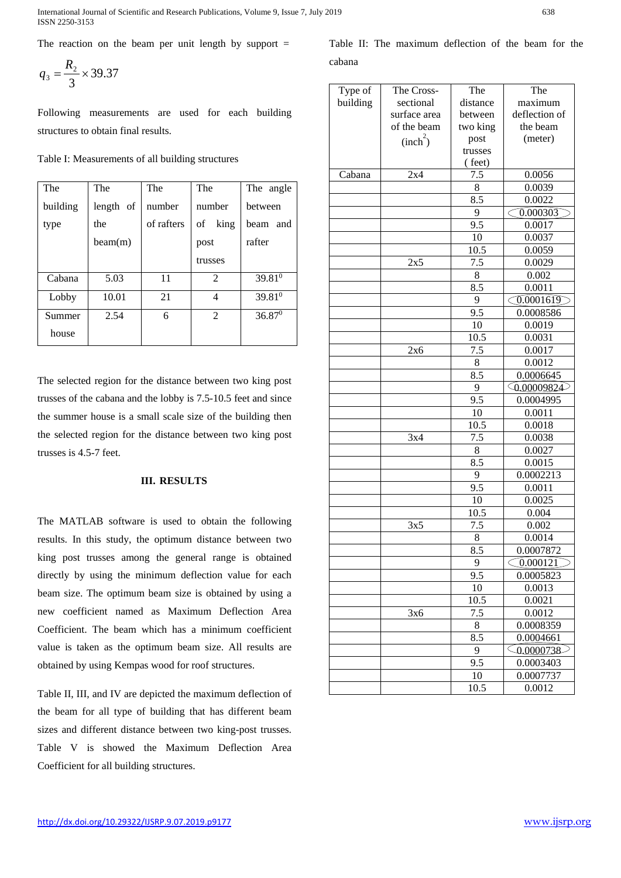International Journal of Scientific and Research Publications, Volume 9, Issue 7, July 2019 638 ISSN 2250-3153

The reaction on the beam per unit length by support  $=$ 

$$
q_3 = \frac{R_2}{3} \times 39.37
$$

Following measurements are used for each building structures to obtain final results.

Table I: Measurements of all building structures

| The      | The       | The        | The            | The angle   |
|----------|-----------|------------|----------------|-------------|
| building | length of | number     | number         | between     |
| type     | the       | of rafters | of<br>king     | beam and    |
|          | beam(m)   |            | post           | rafter      |
|          |           |            | trusses        |             |
| Cabana   | 5.03      | 11         | $\mathfrak{D}$ | $39.81^{0}$ |
| Lobby    | 10.01     | 21         | 4              | 39.810      |
| Summer   | 2.54      | 6          | $\mathfrak{D}$ | $36.87^0$   |
| house    |           |            |                |             |

The selected region for the distance between two king post trusses of the cabana and the lobby is 7.5-10.5 feet and since the summer house is a small scale size of the building then the selected region for the distance between two king post trusses is 4.5-7 feet.

## **III. RESULTS**

The MATLAB software is used to obtain the following results. In this study, the optimum distance between two king post trusses among the general range is obtained directly by using the minimum deflection value for each beam size. The optimum beam size is obtained by using a new coefficient named as Maximum Deflection Area Coefficient. The beam which has a minimum coefficient value is taken as the optimum beam size. All results are obtained by using Kempas wood for roof structures.

Table II, III, and IV are depicted the maximum deflection of the beam for all type of building that has different beam sizes and different distance between two king-post trusses. Table V is showed the Maximum Deflection Area Coefficient for all building structures.

Table II: The maximum deflection of the beam for the cabana

| Type of  | The Cross-           | The      | The                   |
|----------|----------------------|----------|-----------------------|
| building | sectional            | distance | maximum               |
|          | surface area         | between  | deflection of         |
|          | of the beam          | two king | the beam              |
|          | (inch <sup>2</sup> ) | post     | (meter)               |
|          |                      | trusses  |                       |
|          |                      | (feet)   |                       |
| Cabana   | 2x4                  | 7.5      | 0.0056                |
|          |                      | 8        | 0.0039                |
|          |                      | 8.5      | 0.0022                |
|          |                      | 9        | 0.000303<br>C.        |
|          |                      | 9.5      | 0.0017                |
|          |                      | 10       | 0.0037                |
|          |                      | 10.5     | 0.0059                |
|          | 2x5                  | 7.5      | 0.0029                |
|          |                      | 8        | 0.002                 |
|          |                      | 8.5      | 0.0011                |
|          |                      | 9        | $\bigcirc$ .0001619   |
|          |                      | 9.5      | 0.0008586             |
|          |                      | 10       | 0.0019                |
|          |                      | 10.5     | 0.0031                |
|          | 2x6                  | 7.5      | 0.0017                |
|          |                      | $\,8\,$  | 0.0012                |
|          |                      | 8.5      | 0.0006645             |
|          |                      | 9        | $\bigcirc$ 0.00009824 |
|          |                      | 9.5      | 0.0004995             |
|          |                      | 10       | 0.0011                |
|          |                      | 10.5     | 0.0018                |
|          | 3x4                  | 7.5      | 0.0038                |
|          |                      | 8        | 0.0027                |
|          |                      | 8.5      |                       |
|          |                      | 9        | 0.0015                |
|          |                      |          | 0.0002213             |
|          |                      | 9.5      | 0.0011                |
|          |                      | 10       | 0.0025                |
|          |                      | 10.5     | 0.004                 |
|          | 3x5                  | 7.5      | 0.002                 |
|          |                      | 8        | 0.0014                |
|          |                      | 8.5      | 0.0007872             |
|          |                      | 9        | $\bigcirc$ 0.000121   |
|          |                      | 9.5      | 0.0005823             |
|          |                      | 10       | 0.0013                |
|          |                      | 10.5     | 0.0021                |
|          | 3x6                  | 7.5      | 0.0012                |
|          |                      | 8        | 0.0008359             |
|          |                      | 8.5      | 0.0004661             |
|          |                      | 9        | $\zeta_{0.0000738}$   |
|          |                      | 9.5      | 0.0003403             |
|          |                      | 10       | 0.0007737             |
|          |                      | 10.5     | 0.0012                |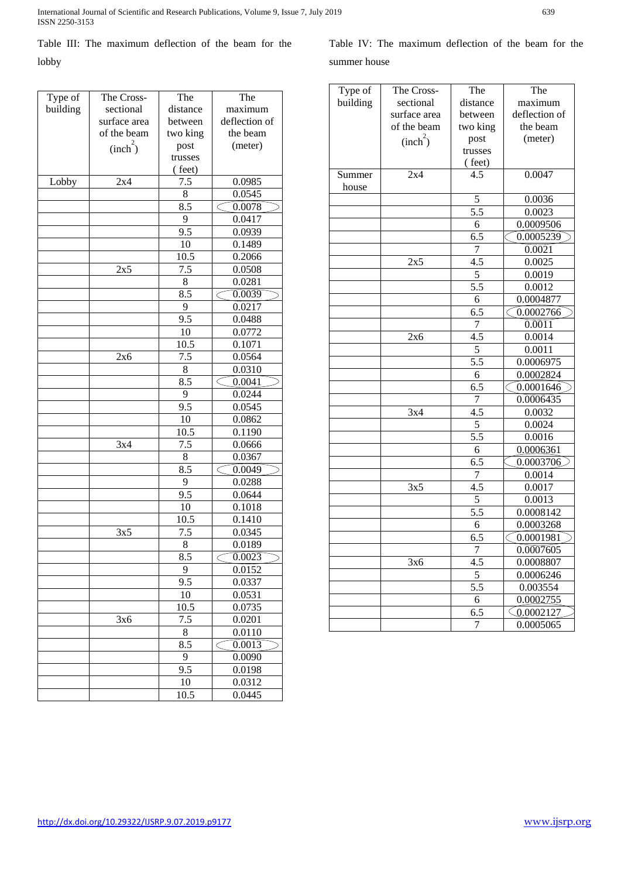Table III: The maximum deflection of the beam for the lobby

| Type of  | The Cross-           | The      | The              |
|----------|----------------------|----------|------------------|
| building | sectional            | distance | maximum          |
|          | surface area         | between  | deflection of    |
|          | of the beam          | two king | the beam         |
|          | (inch <sup>2</sup> ) | post     | (meter)          |
|          |                      | trusses  |                  |
|          |                      | (feet)   |                  |
| Lobby    | 2x4                  | 7.5      | 0.0985           |
|          |                      | 8        | 0.0545           |
|          |                      | 8.5      | 0.0078           |
|          |                      | 9        | 0.0417           |
|          |                      | 9.5      | 0.0939           |
|          |                      | 10       | 0.1489           |
|          |                      | 10.5     | 0.2066           |
|          | 2x5                  | 7.5      | 0.0508           |
|          |                      | 8        | 0.0281           |
|          |                      | 8.5      | 0.0039           |
|          |                      | 9        | 0.0217           |
|          |                      | 9.5      | 0.0488           |
|          |                      | 10       | 0.0772           |
|          |                      | 10.5     | 0.1071           |
|          | 2x6                  | 7.5      | 0.0564           |
|          |                      | 8        | 0.0310           |
|          |                      | 8.5      | 0.0041           |
|          |                      | 9        | 0.0244           |
|          |                      | 9.5      | 0.0545           |
|          |                      | 10       | 0.0862           |
|          |                      | 10.5     | 0.1190           |
|          | 3x4                  | 7.5      | 0.0666           |
|          |                      | 8        | 0.0367           |
|          |                      | 8.5      | 0.0049           |
|          |                      | 9        | 0.0288           |
|          |                      | 9.5      | 0.0644           |
|          |                      | 10       | 0.1018           |
|          |                      | 10.5     | 0.1410           |
|          | 3x5                  | 7.5      | 0.0345           |
|          |                      | 8        | 0.0189           |
|          |                      | 8.5      | 0.0023<br>C<br>⊃ |
|          |                      | 9        | 0.0152           |
|          |                      | 9.5      | 0.0337           |
|          |                      | 10       | 0.0531           |
|          |                      | 10.5     | 0.0735           |
|          | 3x6                  | 7.5      | 0.0201           |
|          |                      | 8        | 0.0110           |
|          |                      | 8.5      | 0.0013           |
|          |                      | 9        | 0.0090           |
|          |                      | 9.5      | 0.0198           |
|          |                      | 10       | 0.0312           |
|          |                      | 10.5     | 0.0445           |
|          |                      |          |                  |

| Type of  | The Cross-           | The              | The                  |
|----------|----------------------|------------------|----------------------|
| building | sectional            | distance         | maximum              |
|          | surface area         | between          | deflection of        |
|          | of the beam          | two king         | the beam             |
|          | (inch <sup>2</sup> ) | post             | (meter)              |
|          |                      | trusses          |                      |
|          |                      | (feet)           |                      |
| Summer   | 2x4                  | 4.5              | 0.0047               |
| house    |                      |                  |                      |
|          |                      | 5                | 0.0036               |
|          |                      | $\overline{5.5}$ | 0.0023               |
|          |                      | 6                | 0.0009506            |
|          |                      | 6.5              | 0.0005239            |
|          |                      | $\overline{7}$   | 0.0021               |
|          | 2x5                  | 4.5              | 0.0025               |
|          |                      | 5                | 0.0019               |
|          |                      | 5.5              | 0.0012               |
|          |                      | 6                |                      |
|          |                      |                  | 0.0004877            |
|          |                      | 6.5              | 0.0002766            |
|          |                      | $\overline{7}$   | 0.0011               |
|          | 2x6                  | 4.5              | 0.0014               |
|          |                      | 5                | 0.0011               |
|          |                      | $\overline{5.5}$ | 0.0006975            |
|          |                      | 6                | 0.0002824            |
|          |                      | 6.5              | 0.0001646            |
|          |                      | $\overline{7}$   | 0.0006435            |
|          | 3x4                  | 4.5              | 0.0032               |
|          |                      | 5                | 0.0024               |
|          |                      | $\overline{5.5}$ | 0.0016               |
|          |                      | 6                | 0.0006361            |
|          |                      | 6.5              | 0.0003706            |
|          |                      | $\overline{7}$   | 0.0014               |
|          | 3x5                  | 4.5              | 0.0017               |
|          |                      | $\overline{5}$   | 0.0013               |
|          |                      | 5.5              | 0.0008142            |
|          |                      | 6                | 0.0003268            |
|          |                      | 6.5              | 0.0001981            |
|          |                      |                  | 0.0007605            |
|          | 3x6                  | I<br>4.5         | 0.0008807            |
|          |                      | $\overline{5}$   | 0.0006246            |
|          |                      |                  |                      |
|          |                      | 5.5              | 0.003554             |
|          |                      | 6                | 0.0002755            |
|          |                      | 6.5              | $\bigcirc$ 0.0002127 |
|          |                      | 7                | 0.0005065            |